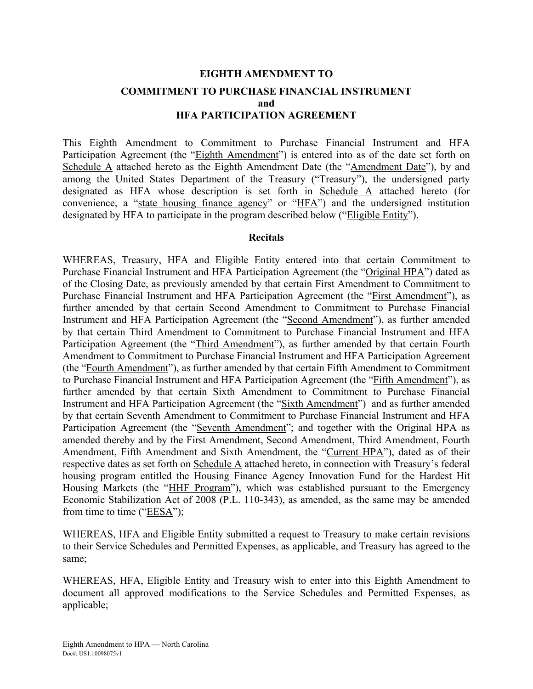## **EIGHTH AMENDMENT TO COMMITMENT TO PURCHASE FINANCIAL INSTRUMENT and HFA PARTICIPATION AGREEMENT**

This Eighth Amendment to Commitment to Purchase Financial Instrument and HFA Participation Agreement (the "Eighth Amendment") is entered into as of the date set forth on Schedule A attached hereto as the Eighth Amendment Date (the "Amendment Date"), by and among the United States Department of the Treasury ("Treasury"), the undersigned party designated as HFA whose description is set forth in Schedule A attached hereto (for convenience, a "state housing finance agency" or "HFA") and the undersigned institution designated by HFA to participate in the program described below ("Eligible Entity").

#### **Recitals**

WHEREAS, Treasury, HFA and Eligible Entity entered into that certain Commitment to Purchase Financial Instrument and HFA Participation Agreement (the "Original HPA") dated as of the Closing Date, as previously amended by that certain First Amendment to Commitment to Purchase Financial Instrument and HFA Participation Agreement (the "First Amendment"), as further amended by that certain Second Amendment to Commitment to Purchase Financial Instrument and HFA Participation Agreement (the "Second Amendment"), as further amended by that certain Third Amendment to Commitment to Purchase Financial Instrument and HFA Participation Agreement (the "Third Amendment"), as further amended by that certain Fourth Amendment to Commitment to Purchase Financial Instrument and HFA Participation Agreement (the "Fourth Amendment"), as further amended by that certain Fifth Amendment to Commitment to Purchase Financial Instrument and HFA Participation Agreement (the "Fifth Amendment"), as further amended by that certain Sixth Amendment to Commitment to Purchase Financial Instrument and HFA Participation Agreement (the "Sixth Amendment") and as further amended by that certain Seventh Amendment to Commitment to Purchase Financial Instrument and HFA Participation Agreement (the "Seventh Amendment"; and together with the Original HPA as amended thereby and by the First Amendment, Second Amendment, Third Amendment, Fourth Amendment, Fifth Amendment and Sixth Amendment, the "Current HPA"), dated as of their respective dates as set forth on Schedule A attached hereto, in connection with Treasury's federal housing program entitled the Housing Finance Agency Innovation Fund for the Hardest Hit Housing Markets (the "HHF Program"), which was established pursuant to the Emergency Economic Stabilization Act of 2008 (P.L. 110-343), as amended, as the same may be amended from time to time ("EESA");

WHEREAS, HFA and Eligible Entity submitted a request to Treasury to make certain revisions to their Service Schedules and Permitted Expenses, as applicable, and Treasury has agreed to the same;

WHEREAS, HFA, Eligible Entity and Treasury wish to enter into this Eighth Amendment to document all approved modifications to the Service Schedules and Permitted Expenses, as applicable;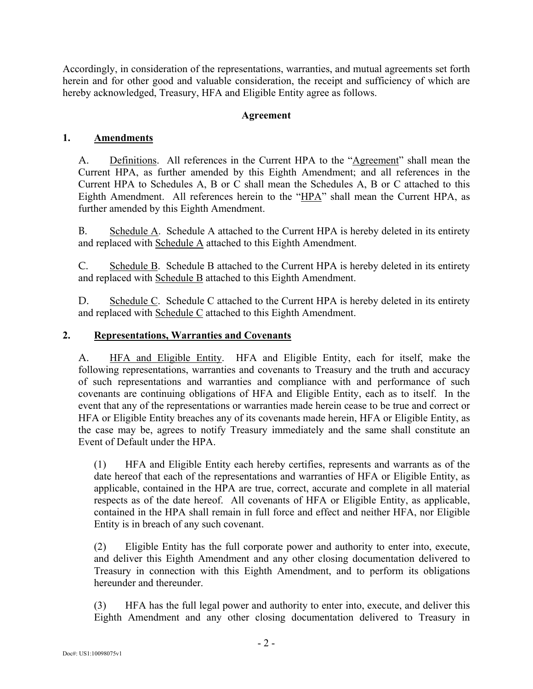Accordingly, in consideration of the representations, warranties, and mutual agreements set forth herein and for other good and valuable consideration, the receipt and sufficiency of which are hereby acknowledged, Treasury, HFA and Eligible Entity agree as follows.

### **Agreement**

### **1. Amendments**

A. Definitions. All references in the Current HPA to the "Agreement" shall mean the Current HPA, as further amended by this Eighth Amendment; and all references in the Current HPA to Schedules A, B or C shall mean the Schedules A, B or C attached to this Eighth Amendment. All references herein to the "HPA" shall mean the Current HPA, as further amended by this Eighth Amendment.

B. Schedule A. Schedule A attached to the Current HPA is hereby deleted in its entirety and replaced with Schedule A attached to this Eighth Amendment.

C. Schedule B. Schedule B attached to the Current HPA is hereby deleted in its entirety and replaced with Schedule B attached to this Eighth Amendment.

D. Schedule C. Schedule C attached to the Current HPA is hereby deleted in its entirety and replaced with Schedule C attached to this Eighth Amendment.

#### **2. Representations, Warranties and Covenants**

A. HFA and Eligible Entity. HFA and Eligible Entity, each for itself, make the following representations, warranties and covenants to Treasury and the truth and accuracy of such representations and warranties and compliance with and performance of such covenants are continuing obligations of HFA and Eligible Entity, each as to itself. In the event that any of the representations or warranties made herein cease to be true and correct or HFA or Eligible Entity breaches any of its covenants made herein, HFA or Eligible Entity, as the case may be, agrees to notify Treasury immediately and the same shall constitute an Event of Default under the HPA.

(1) HFA and Eligible Entity each hereby certifies, represents and warrants as of the date hereof that each of the representations and warranties of HFA or Eligible Entity, as applicable, contained in the HPA are true, correct, accurate and complete in all material respects as of the date hereof. All covenants of HFA or Eligible Entity, as applicable, contained in the HPA shall remain in full force and effect and neither HFA, nor Eligible Entity is in breach of any such covenant.

(2) Eligible Entity has the full corporate power and authority to enter into, execute, and deliver this Eighth Amendment and any other closing documentation delivered to Treasury in connection with this Eighth Amendment, and to perform its obligations hereunder and thereunder.

(3) HFA has the full legal power and authority to enter into, execute, and deliver this Eighth Amendment and any other closing documentation delivered to Treasury in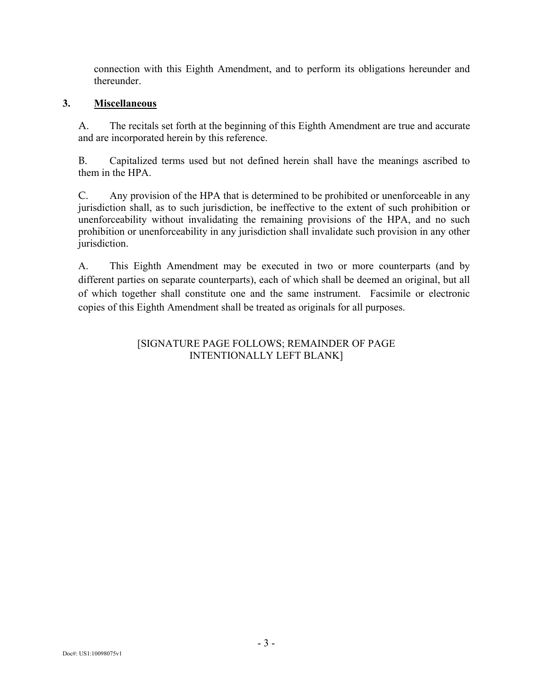connection with this Eighth Amendment, and to perform its obligations hereunder and thereunder.

## **3. Miscellaneous**

A. The recitals set forth at the beginning of this Eighth Amendment are true and accurate and are incorporated herein by this reference.

B. Capitalized terms used but not defined herein shall have the meanings ascribed to them in the HPA.

C. Any provision of the HPA that is determined to be prohibited or unenforceable in any jurisdiction shall, as to such jurisdiction, be ineffective to the extent of such prohibition or unenforceability without invalidating the remaining provisions of the HPA, and no such prohibition or unenforceability in any jurisdiction shall invalidate such provision in any other jurisdiction.

A. This Eighth Amendment may be executed in two or more counterparts (and by different parties on separate counterparts), each of which shall be deemed an original, but all of which together shall constitute one and the same instrument. Facsimile or electronic copies of this Eighth Amendment shall be treated as originals for all purposes.

## [SIGNATURE PAGE FOLLOWS; REMAINDER OF PAGE INTENTIONALLY LEFT BLANK]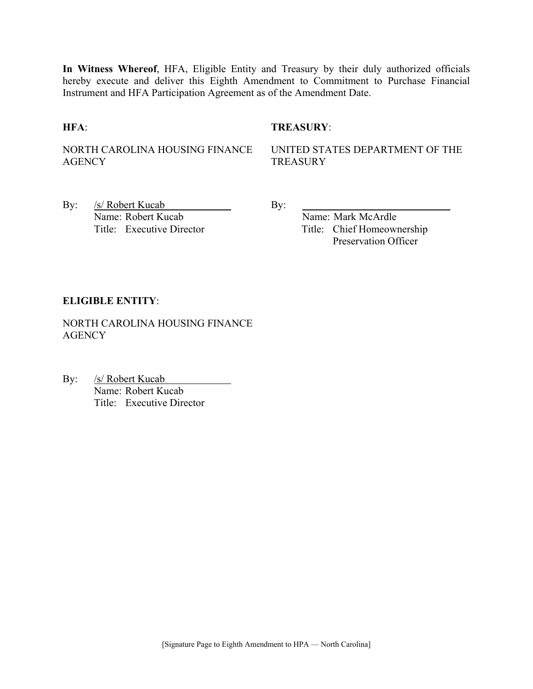**In Witness Whereof**, HFA, Eligible Entity and Treasury by their duly authorized officials hereby execute and deliver this Eighth Amendment to Commitment to Purchase Financial Instrument and HFA Participation Agreement as of the Amendment Date.

#### **HFA**: **TREASURY**:

NORTH CAROLINA HOUSING FINANCE **AGENCY** 

UNITED STATES DEPARTMENT OF THE **TREASURY** 

By: <u>/s/ Robert Kucab</u> By: Name: Robert Kucab Name: Mark McArdle

Title: Executive Director Title: Chief Homeownership Preservation Officer

#### **ELIGIBLE ENTITY**:

NORTH CAROLINA HOUSING FINANCE **AGENCY** 

By: /s/ Robert Kucab Name: Robert Kucab Title: Executive Director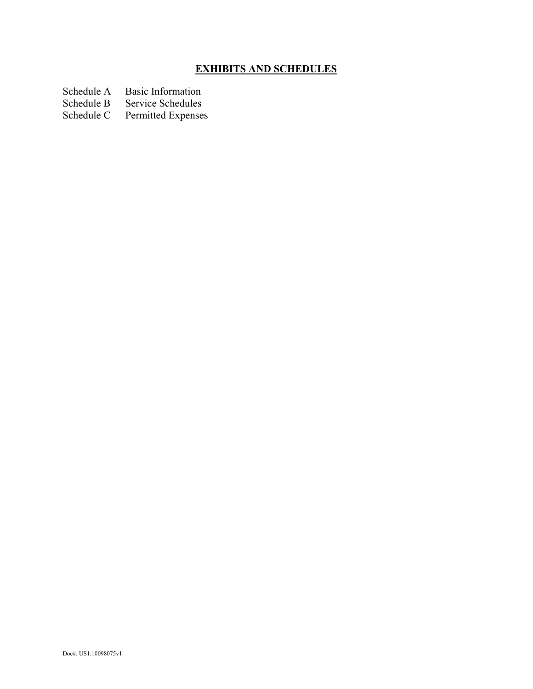## **EXHIBITS AND SCHEDULES**

Schedule A Basic Information<br>Schedule B Service Schedules

Schedule B Service Schedules<br>Schedule C Permitted Expenses

Permitted Expenses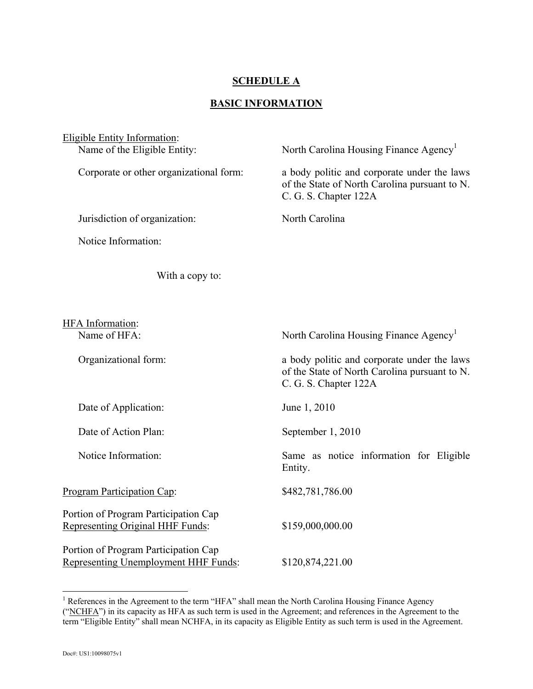## **SCHEDULE A**

## **BASIC INFORMATION**

| <b>Eligible Entity Information:</b><br>Name of the Eligible Entity:             | North Carolina Housing Finance Agency <sup>1</sup>                                                                    |
|---------------------------------------------------------------------------------|-----------------------------------------------------------------------------------------------------------------------|
|                                                                                 |                                                                                                                       |
| Corporate or other organizational form:                                         | a body politic and corporate under the laws<br>of the State of North Carolina pursuant to N.<br>C. G. S. Chapter 122A |
| Jurisdiction of organization:                                                   | North Carolina                                                                                                        |
| Notice Information:                                                             |                                                                                                                       |
| With a copy to:                                                                 |                                                                                                                       |
|                                                                                 |                                                                                                                       |
| <b>HFA</b> Information:<br>Name of HFA:                                         | North Carolina Housing Finance Agency <sup>1</sup>                                                                    |
| Organizational form:                                                            | a body politic and corporate under the laws<br>of the State of North Carolina pursuant to N.<br>C. G. S. Chapter 122A |
| Date of Application:                                                            | June 1, 2010                                                                                                          |
| Date of Action Plan:                                                            | September 1, 2010                                                                                                     |
| Notice Information:                                                             | Same as notice information for Eligible<br>Entity.                                                                    |
| Program Participation Cap:                                                      | \$482,781,786.00                                                                                                      |
| Portion of Program Participation Cap<br><b>Representing Original HHF Funds:</b> | \$159,000,000.00                                                                                                      |
| Portion of Program Participation Cap<br>Representing Unemployment HHF Funds:    | \$120,874,221.00                                                                                                      |

<sup>&</sup>lt;sup>1</sup> References in the Agreement to the term "HFA" shall mean the North Carolina Housing Finance Agency (" $NCHFA$ ") in its capacity as HFA as such term is used in the Agreement; and references in the Agreement to the term "Eligible Entity" shall mean NCHFA, in its capacity as Eligible Entity as such term is used in the Agreement.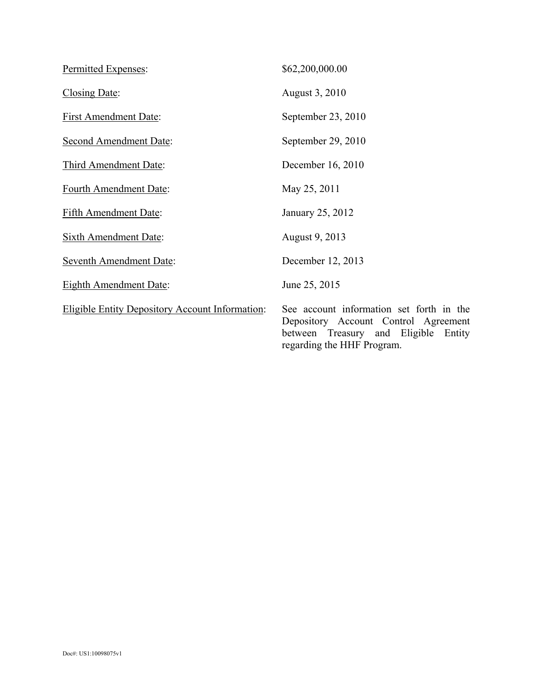| Permitted Expenses:                                    | \$62,200,000.00                                                                                                                                        |
|--------------------------------------------------------|--------------------------------------------------------------------------------------------------------------------------------------------------------|
| Closing Date:                                          | August 3, 2010                                                                                                                                         |
| <b>First Amendment Date:</b>                           | September 23, 2010                                                                                                                                     |
| Second Amendment Date:                                 | September 29, 2010                                                                                                                                     |
| Third Amendment Date:                                  | December 16, 2010                                                                                                                                      |
| Fourth Amendment Date:                                 | May 25, 2011                                                                                                                                           |
| <b>Fifth Amendment Date:</b>                           | January 25, 2012                                                                                                                                       |
| <b>Sixth Amendment Date:</b>                           | August 9, 2013                                                                                                                                         |
| <b>Seventh Amendment Date:</b>                         | December 12, 2013                                                                                                                                      |
| <b>Eighth Amendment Date:</b>                          | June 25, 2015                                                                                                                                          |
| <b>Eligible Entity Depository Account Information:</b> | See account information set forth in the<br>Depository Account Control Agreement<br>between Treasury and Eligible Entity<br>regarding the HHF Program. |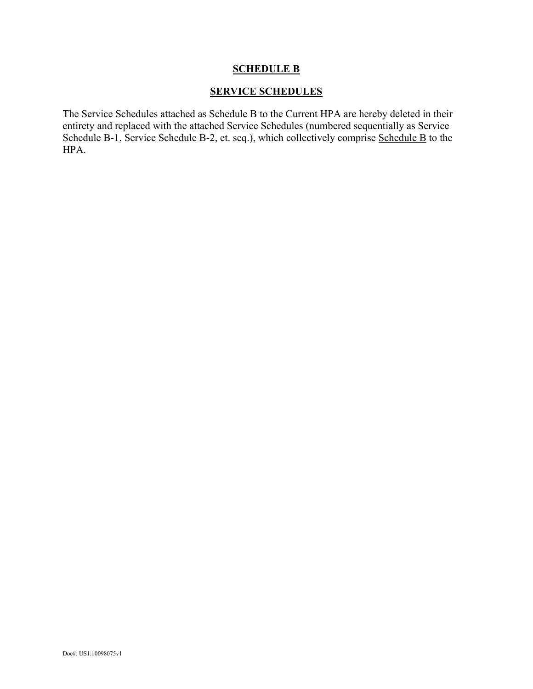## **SCHEDULE B**

### **SERVICE SCHEDULES**

The Service Schedules attached as Schedule B to the Current HPA are hereby deleted in their entirety and replaced with the attached Service Schedules (numbered sequentially as Service Schedule B-1, Service Schedule B-2, et. seq.), which collectively comprise Schedule B to the HPA.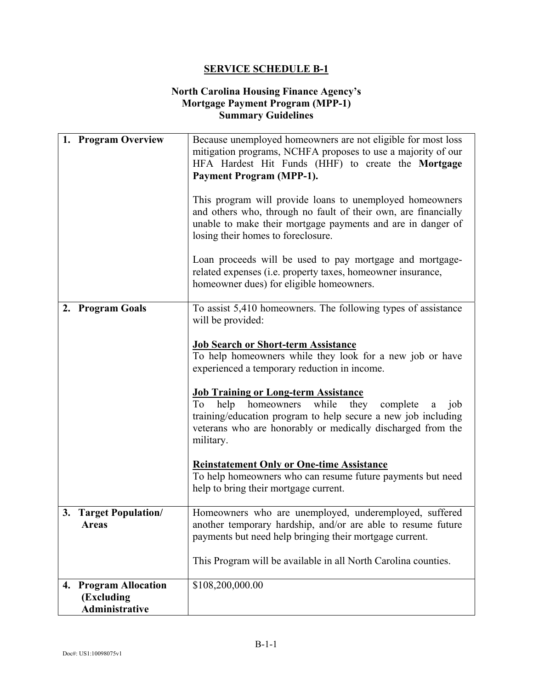### **North Carolina Housing Finance Agency's Mortgage Payment Program (MPP-1) Summary Guidelines**

| 1. Program Overview                                             | Because unemployed homeowners are not eligible for most loss<br>mitigation programs, NCHFA proposes to use a majority of our<br>HFA Hardest Hit Funds (HHF) to create the Mortgage<br><b>Payment Program (MPP-1).</b><br>This program will provide loans to unemployed homeowners<br>and others who, through no fault of their own, are financially<br>unable to make their mortgage payments and are in danger of<br>losing their homes to foreclosure.<br>Loan proceeds will be used to pay mortgage and mortgage-<br>related expenses (i.e. property taxes, homeowner insurance,<br>homeowner dues) for eligible homeowners.                                          |
|-----------------------------------------------------------------|--------------------------------------------------------------------------------------------------------------------------------------------------------------------------------------------------------------------------------------------------------------------------------------------------------------------------------------------------------------------------------------------------------------------------------------------------------------------------------------------------------------------------------------------------------------------------------------------------------------------------------------------------------------------------|
| 2. Program Goals                                                | To assist 5,410 homeowners. The following types of assistance<br>will be provided:<br><b>Job Search or Short-term Assistance</b><br>To help homeowners while they look for a new job or have<br>experienced a temporary reduction in income.<br><b>Job Training or Long-term Assistance</b><br>To<br>help<br>while<br>they<br>homeowners<br>complete<br>job<br>a<br>training/education program to help secure a new job including<br>veterans who are honorably or medically discharged from the<br>military.<br><b>Reinstatement Only or One-time Assistance</b><br>To help homeowners who can resume future payments but need<br>help to bring their mortgage current. |
| 3. Target Population/<br><b>Areas</b>                           | Homeowners who are unemployed, underemployed, suffered<br>another temporary hardship, and/or are able to resume future<br>payments but need help bringing their mortgage current.<br>This Program will be available in all North Carolina counties.                                                                                                                                                                                                                                                                                                                                                                                                                      |
| <b>Program Allocation</b><br>4.<br>(Excluding<br>Administrative | \$108,200,000.00                                                                                                                                                                                                                                                                                                                                                                                                                                                                                                                                                                                                                                                         |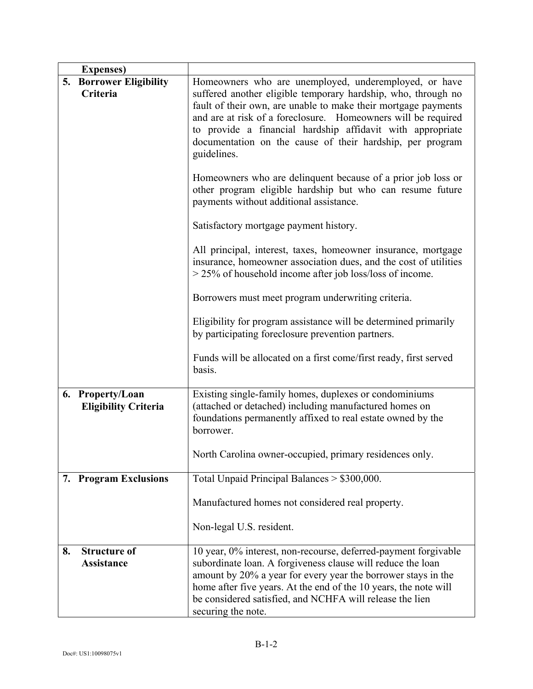| <b>Expenses</b> )                               |                                                                                                                                                                                                                                                                                                                                                                                                     |
|-------------------------------------------------|-----------------------------------------------------------------------------------------------------------------------------------------------------------------------------------------------------------------------------------------------------------------------------------------------------------------------------------------------------------------------------------------------------|
| 5. Borrower Eligibility<br>Criteria             | Homeowners who are unemployed, underemployed, or have<br>suffered another eligible temporary hardship, who, through no<br>fault of their own, are unable to make their mortgage payments<br>and are at risk of a foreclosure. Homeowners will be required<br>to provide a financial hardship affidavit with appropriate<br>documentation on the cause of their hardship, per program<br>guidelines. |
|                                                 | Homeowners who are delinquent because of a prior job loss or<br>other program eligible hardship but who can resume future<br>payments without additional assistance.                                                                                                                                                                                                                                |
|                                                 | Satisfactory mortgage payment history.                                                                                                                                                                                                                                                                                                                                                              |
|                                                 | All principal, interest, taxes, homeowner insurance, mortgage<br>insurance, homeowner association dues, and the cost of utilities<br>$>$ 25% of household income after job loss/loss of income.                                                                                                                                                                                                     |
|                                                 | Borrowers must meet program underwriting criteria.                                                                                                                                                                                                                                                                                                                                                  |
|                                                 | Eligibility for program assistance will be determined primarily<br>by participating foreclosure prevention partners.                                                                                                                                                                                                                                                                                |
|                                                 | Funds will be allocated on a first come/first ready, first served<br>basis.                                                                                                                                                                                                                                                                                                                         |
| 6. Property/Loan<br><b>Eligibility Criteria</b> | Existing single-family homes, duplexes or condominiums<br>(attached or detached) including manufactured homes on<br>foundations permanently affixed to real estate owned by the<br>borrower.                                                                                                                                                                                                        |
|                                                 | North Carolina owner-occupied, primary residences only.                                                                                                                                                                                                                                                                                                                                             |
| 7. Program Exclusions                           | Total Unpaid Principal Balances > \$300,000.                                                                                                                                                                                                                                                                                                                                                        |
|                                                 | Manufactured homes not considered real property.                                                                                                                                                                                                                                                                                                                                                    |
|                                                 | Non-legal U.S. resident.                                                                                                                                                                                                                                                                                                                                                                            |
| 8.<br><b>Structure of</b><br><b>Assistance</b>  | 10 year, 0% interest, non-recourse, deferred-payment forgivable<br>subordinate loan. A forgiveness clause will reduce the loan<br>amount by 20% a year for every year the borrower stays in the<br>home after five years. At the end of the 10 years, the note will<br>be considered satisfied, and NCHFA will release the lien<br>securing the note.                                               |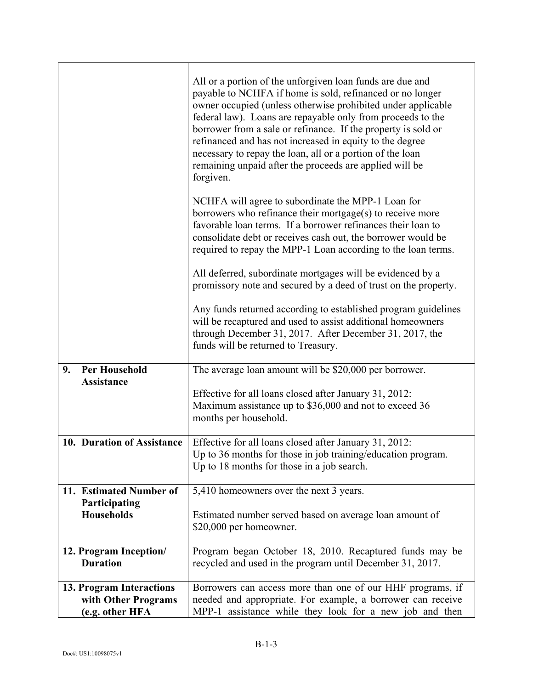|                                                                    | All or a portion of the unforgiven loan funds are due and<br>payable to NCHFA if home is sold, refinanced or no longer<br>owner occupied (unless otherwise prohibited under applicable<br>federal law). Loans are repayable only from proceeds to the<br>borrower from a sale or refinance. If the property is sold or<br>refinanced and has not increased in equity to the degree<br>necessary to repay the loan, all or a portion of the loan<br>remaining unpaid after the proceeds are applied will be<br>forgiven. |
|--------------------------------------------------------------------|-------------------------------------------------------------------------------------------------------------------------------------------------------------------------------------------------------------------------------------------------------------------------------------------------------------------------------------------------------------------------------------------------------------------------------------------------------------------------------------------------------------------------|
|                                                                    | NCHFA will agree to subordinate the MPP-1 Loan for<br>borrowers who refinance their mortgage(s) to receive more<br>favorable loan terms. If a borrower refinances their loan to<br>consolidate debt or receives cash out, the borrower would be<br>required to repay the MPP-1 Loan according to the loan terms.                                                                                                                                                                                                        |
|                                                                    | All deferred, subordinate mortgages will be evidenced by a<br>promissory note and secured by a deed of trust on the property.                                                                                                                                                                                                                                                                                                                                                                                           |
|                                                                    | Any funds returned according to established program guidelines<br>will be recaptured and used to assist additional homeowners<br>through December 31, 2017. After December 31, 2017, the<br>funds will be returned to Treasury.                                                                                                                                                                                                                                                                                         |
| <b>Per Household</b><br>9.<br><b>Assistance</b>                    | The average loan amount will be \$20,000 per borrower.                                                                                                                                                                                                                                                                                                                                                                                                                                                                  |
|                                                                    | Effective for all loans closed after January 31, 2012:<br>Maximum assistance up to \$36,000 and not to exceed 36<br>months per household.                                                                                                                                                                                                                                                                                                                                                                               |
| 10. Duration of Assistance                                         | Effective for all loans closed after January 31, 2012:<br>Up to 36 months for those in job training/education program.<br>Up to 18 months for those in a job search.                                                                                                                                                                                                                                                                                                                                                    |
| 11. Estimated Number of<br>Participating                           | 5,410 homeowners over the next 3 years.                                                                                                                                                                                                                                                                                                                                                                                                                                                                                 |
| <b>Households</b>                                                  | Estimated number served based on average loan amount of<br>\$20,000 per homeowner.                                                                                                                                                                                                                                                                                                                                                                                                                                      |
| 12. Program Inception/<br><b>Duration</b>                          | Program began October 18, 2010. Recaptured funds may be<br>recycled and used in the program until December 31, 2017.                                                                                                                                                                                                                                                                                                                                                                                                    |
| 13. Program Interactions<br>with Other Programs<br>(e.g. other HFA | Borrowers can access more than one of our HHF programs, if<br>needed and appropriate. For example, a borrower can receive<br>MPP-1 assistance while they look for a new job and then                                                                                                                                                                                                                                                                                                                                    |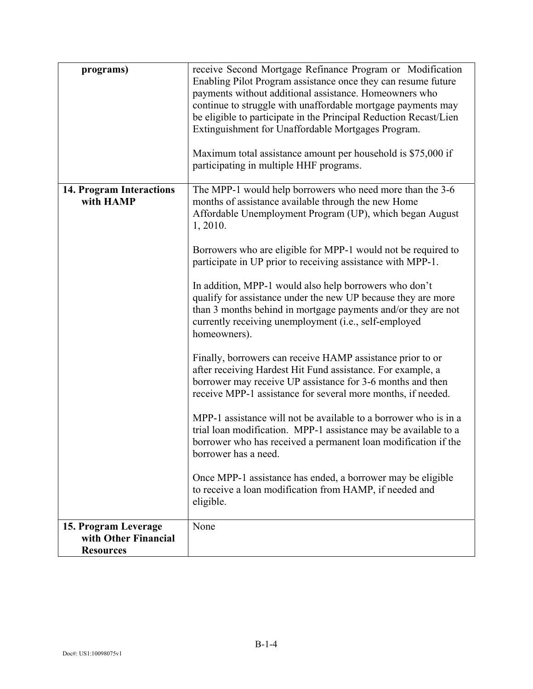| programs)                                | receive Second Mortgage Refinance Program or Modification<br>Enabling Pilot Program assistance once they can resume future<br>payments without additional assistance. Homeowners who<br>continue to struggle with unaffordable mortgage payments may<br>be eligible to participate in the Principal Reduction Recast/Lien<br>Extinguishment for Unaffordable Mortgages Program.<br>Maximum total assistance amount per household is \$75,000 if<br>participating in multiple HHF programs.                                                                                                                                                                                                                                                                                                                                                                                                                                                                                                                                                                        |
|------------------------------------------|-------------------------------------------------------------------------------------------------------------------------------------------------------------------------------------------------------------------------------------------------------------------------------------------------------------------------------------------------------------------------------------------------------------------------------------------------------------------------------------------------------------------------------------------------------------------------------------------------------------------------------------------------------------------------------------------------------------------------------------------------------------------------------------------------------------------------------------------------------------------------------------------------------------------------------------------------------------------------------------------------------------------------------------------------------------------|
| 14. Program Interactions<br>with HAMP    | The MPP-1 would help borrowers who need more than the 3-6<br>months of assistance available through the new Home<br>Affordable Unemployment Program (UP), which began August<br>1, 2010.<br>Borrowers who are eligible for MPP-1 would not be required to<br>participate in UP prior to receiving assistance with MPP-1.<br>In addition, MPP-1 would also help borrowers who don't<br>qualify for assistance under the new UP because they are more<br>than 3 months behind in mortgage payments and/or they are not<br>currently receiving unemployment (i.e., self-employed<br>homeowners).<br>Finally, borrowers can receive HAMP assistance prior to or<br>after receiving Hardest Hit Fund assistance. For example, a<br>borrower may receive UP assistance for 3-6 months and then<br>receive MPP-1 assistance for several more months, if needed.<br>MPP-1 assistance will not be available to a borrower who is in a<br>trial loan modification. MPP-1 assistance may be available to a<br>borrower who has received a permanent loan modification if the |
| 15. Program Leverage                     | borrower has a need.<br>Once MPP-1 assistance has ended, a borrower may be eligible<br>to receive a loan modification from HAMP, if needed and<br>eligible.<br>None                                                                                                                                                                                                                                                                                                                                                                                                                                                                                                                                                                                                                                                                                                                                                                                                                                                                                               |
| with Other Financial<br><b>Resources</b> |                                                                                                                                                                                                                                                                                                                                                                                                                                                                                                                                                                                                                                                                                                                                                                                                                                                                                                                                                                                                                                                                   |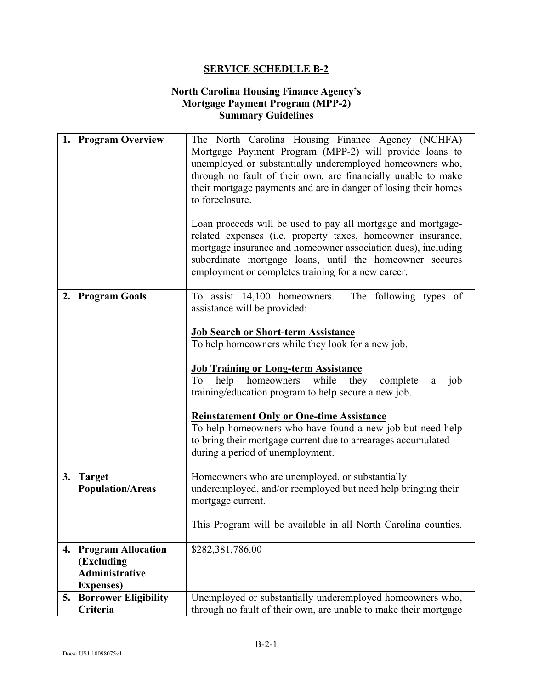### **North Carolina Housing Finance Agency's Mortgage Payment Program (MPP-2) Summary Guidelines**

|    | 1. Program Overview                        | The North Carolina Housing Finance Agency (NCHFA)<br>Mortgage Payment Program (MPP-2) will provide loans to<br>unemployed or substantially underemployed homeowners who,<br>through no fault of their own, are financially unable to make<br>their mortgage payments and are in danger of losing their homes<br>to foreclosure.<br>Loan proceeds will be used to pay all mortgage and mortgage-<br>related expenses (i.e. property taxes, homeowner insurance,<br>mortgage insurance and homeowner association dues), including<br>subordinate mortgage loans, until the homeowner secures<br>employment or completes training for a new career. |
|----|--------------------------------------------|--------------------------------------------------------------------------------------------------------------------------------------------------------------------------------------------------------------------------------------------------------------------------------------------------------------------------------------------------------------------------------------------------------------------------------------------------------------------------------------------------------------------------------------------------------------------------------------------------------------------------------------------------|
|    | 2. Program Goals                           | To assist 14,100 homeowners.<br>The following types of<br>assistance will be provided:                                                                                                                                                                                                                                                                                                                                                                                                                                                                                                                                                           |
|    |                                            | <b>Job Search or Short-term Assistance</b><br>To help homeowners while they look for a new job.                                                                                                                                                                                                                                                                                                                                                                                                                                                                                                                                                  |
|    |                                            |                                                                                                                                                                                                                                                                                                                                                                                                                                                                                                                                                                                                                                                  |
|    |                                            | <b>Job Training or Long-term Assistance</b><br>To help homeowners while they<br>complete<br>job<br>a<br>training/education program to help secure a new job.                                                                                                                                                                                                                                                                                                                                                                                                                                                                                     |
|    |                                            | <b>Reinstatement Only or One-time Assistance</b>                                                                                                                                                                                                                                                                                                                                                                                                                                                                                                                                                                                                 |
|    |                                            | To help homeowners who have found a new job but need help<br>to bring their mortgage current due to arrearages accumulated<br>during a period of unemployment.                                                                                                                                                                                                                                                                                                                                                                                                                                                                                   |
|    | 3. Target<br><b>Population/Areas</b>       | Homeowners who are unemployed, or substantially<br>underemployed, and/or reemployed but need help bringing their<br>mortgage current.                                                                                                                                                                                                                                                                                                                                                                                                                                                                                                            |
|    |                                            | This Program will be available in all North Carolina counties.                                                                                                                                                                                                                                                                                                                                                                                                                                                                                                                                                                                   |
| 4. | <b>Program Allocation</b><br>(Excluding    | \$282,381,786.00                                                                                                                                                                                                                                                                                                                                                                                                                                                                                                                                                                                                                                 |
|    | <b>Administrative</b><br><b>Expenses</b> ) |                                                                                                                                                                                                                                                                                                                                                                                                                                                                                                                                                                                                                                                  |
| 5. | <b>Borrower Eligibility</b>                | Unemployed or substantially underemployed homeowners who,                                                                                                                                                                                                                                                                                                                                                                                                                                                                                                                                                                                        |
|    | Criteria                                   | through no fault of their own, are unable to make their mortgage                                                                                                                                                                                                                                                                                                                                                                                                                                                                                                                                                                                 |
|    |                                            |                                                                                                                                                                                                                                                                                                                                                                                                                                                                                                                                                                                                                                                  |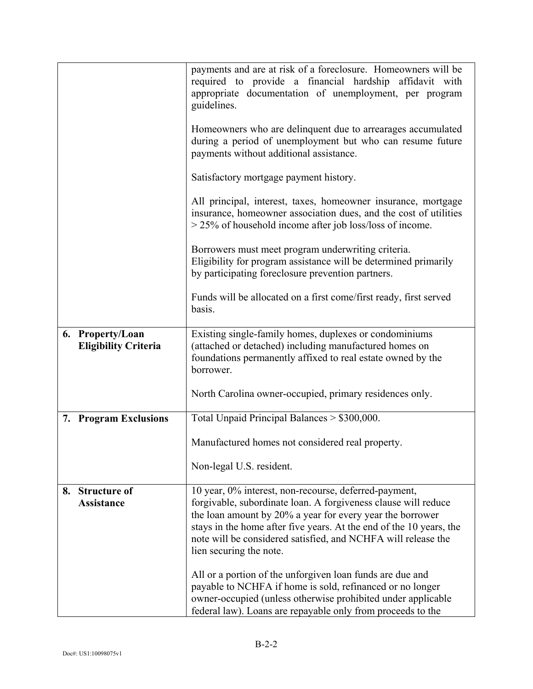|                                                 | payments and are at risk of a foreclosure. Homeowners will be<br>required to provide a financial hardship affidavit with<br>appropriate documentation of unemployment, per program<br>guidelines.                                                                                                                                                       |
|-------------------------------------------------|---------------------------------------------------------------------------------------------------------------------------------------------------------------------------------------------------------------------------------------------------------------------------------------------------------------------------------------------------------|
|                                                 | Homeowners who are delinquent due to arrearages accumulated<br>during a period of unemployment but who can resume future<br>payments without additional assistance.                                                                                                                                                                                     |
|                                                 | Satisfactory mortgage payment history.                                                                                                                                                                                                                                                                                                                  |
|                                                 | All principal, interest, taxes, homeowner insurance, mortgage<br>insurance, homeowner association dues, and the cost of utilities<br>$>$ 25% of household income after job loss/loss of income.                                                                                                                                                         |
|                                                 | Borrowers must meet program underwriting criteria.<br>Eligibility for program assistance will be determined primarily<br>by participating foreclosure prevention partners.                                                                                                                                                                              |
|                                                 | Funds will be allocated on a first come/first ready, first served<br>basis.                                                                                                                                                                                                                                                                             |
| 6. Property/Loan<br><b>Eligibility Criteria</b> | Existing single-family homes, duplexes or condominiums<br>(attached or detached) including manufactured homes on<br>foundations permanently affixed to real estate owned by the<br>borrower.                                                                                                                                                            |
|                                                 | North Carolina owner-occupied, primary residences only.                                                                                                                                                                                                                                                                                                 |
| 7. Program Exclusions                           | Total Unpaid Principal Balances > \$300,000.                                                                                                                                                                                                                                                                                                            |
|                                                 | Manufactured homes not considered real property.                                                                                                                                                                                                                                                                                                        |
|                                                 | Non-legal U.S. resident.                                                                                                                                                                                                                                                                                                                                |
| 8. Structure of<br><b>Assistance</b>            | 10 year, 0% interest, non-recourse, deferred-payment,<br>forgivable, subordinate loan. A forgiveness clause will reduce<br>the loan amount by 20% a year for every year the borrower<br>stays in the home after five years. At the end of the 10 years, the<br>note will be considered satisfied, and NCHFA will release the<br>lien securing the note. |
|                                                 | All or a portion of the unforgiven loan funds are due and<br>payable to NCHFA if home is sold, refinanced or no longer<br>owner-occupied (unless otherwise prohibited under applicable<br>federal law). Loans are repayable only from proceeds to the                                                                                                   |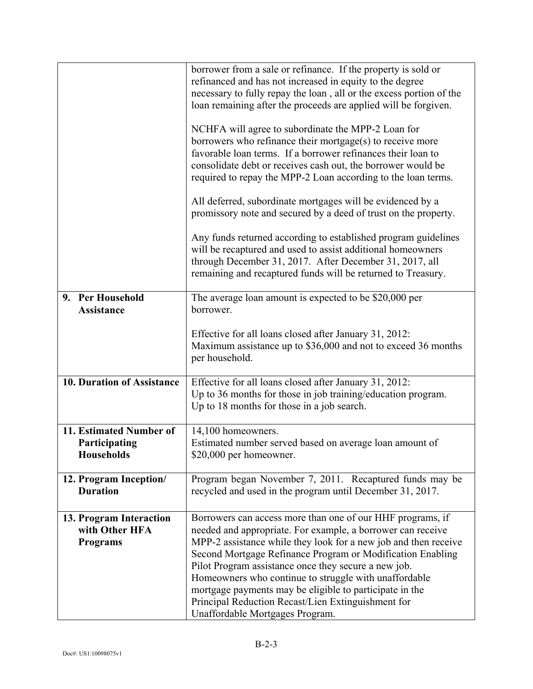|                                       | borrower from a sale or refinance. If the property is sold or<br>refinanced and has not increased in equity to the degree     |
|---------------------------------------|-------------------------------------------------------------------------------------------------------------------------------|
|                                       | necessary to fully repay the loan, all or the excess portion of the                                                           |
|                                       | loan remaining after the proceeds are applied will be forgiven.                                                               |
|                                       |                                                                                                                               |
|                                       | NCHFA will agree to subordinate the MPP-2 Loan for                                                                            |
|                                       | borrowers who refinance their mortgage(s) to receive more                                                                     |
|                                       | favorable loan terms. If a borrower refinances their loan to                                                                  |
|                                       | consolidate debt or receives cash out, the borrower would be                                                                  |
|                                       | required to repay the MPP-2 Loan according to the loan terms.                                                                 |
|                                       | All deferred, subordinate mortgages will be evidenced by a<br>promissory note and secured by a deed of trust on the property. |
|                                       | Any funds returned according to established program guidelines                                                                |
|                                       | will be recaptured and used to assist additional homeowners                                                                   |
|                                       | through December 31, 2017. After December 31, 2017, all                                                                       |
|                                       | remaining and recaptured funds will be returned to Treasury.                                                                  |
|                                       |                                                                                                                               |
| 9. Per Household<br><b>Assistance</b> | The average loan amount is expected to be \$20,000 per<br>borrower.                                                           |
|                                       | Effective for all loans closed after January 31, 2012:                                                                        |
|                                       | Maximum assistance up to \$36,000 and not to exceed 36 months                                                                 |
|                                       | per household.                                                                                                                |
|                                       |                                                                                                                               |
| 10. Duration of Assistance            | Effective for all loans closed after January 31, 2012:                                                                        |
|                                       | Up to 36 months for those in job training/education program.                                                                  |
|                                       | Up to 18 months for those in a job search.                                                                                    |
|                                       |                                                                                                                               |
| 11. Estimated Number of               | 14,100 homeowners.                                                                                                            |
| Participating                         | Estimated number served based on average loan amount of                                                                       |
| <b>Households</b>                     | \$20,000 per homeowner.                                                                                                       |
| 12. Program Inception/                | Program began November 7, 2011. Recaptured funds may be                                                                       |
| <b>Duration</b>                       | recycled and used in the program until December 31, 2017.                                                                     |
|                                       |                                                                                                                               |
| 13. Program Interaction               | Borrowers can access more than one of our HHF programs, if                                                                    |
| with Other HFA                        | needed and appropriate. For example, a borrower can receive                                                                   |
| <b>Programs</b>                       | MPP-2 assistance while they look for a new job and then receive                                                               |
|                                       | Second Mortgage Refinance Program or Modification Enabling                                                                    |
|                                       | Pilot Program assistance once they secure a new job.                                                                          |
|                                       | Homeowners who continue to struggle with unaffordable                                                                         |
|                                       | mortgage payments may be eligible to participate in the                                                                       |
|                                       | Principal Reduction Recast/Lien Extinguishment for                                                                            |
|                                       | Unaffordable Mortgages Program.                                                                                               |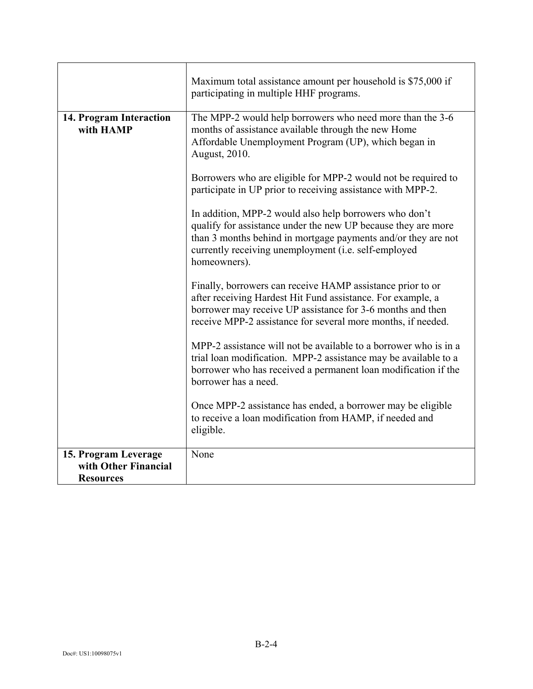|                                          | Maximum total assistance amount per household is \$75,000 if<br>participating in multiple HHF programs.                                                                                                                                                          |
|------------------------------------------|------------------------------------------------------------------------------------------------------------------------------------------------------------------------------------------------------------------------------------------------------------------|
| 14. Program Interaction<br>with HAMP     | The MPP-2 would help borrowers who need more than the 3-6<br>months of assistance available through the new Home<br>Affordable Unemployment Program (UP), which began in<br>August, 2010.                                                                        |
|                                          | Borrowers who are eligible for MPP-2 would not be required to<br>participate in UP prior to receiving assistance with MPP-2.                                                                                                                                     |
|                                          | In addition, MPP-2 would also help borrowers who don't<br>qualify for assistance under the new UP because they are more<br>than 3 months behind in mortgage payments and/or they are not<br>currently receiving unemployment (i.e. self-employed<br>homeowners). |
|                                          | Finally, borrowers can receive HAMP assistance prior to or<br>after receiving Hardest Hit Fund assistance. For example, a<br>borrower may receive UP assistance for 3-6 months and then<br>receive MPP-2 assistance for several more months, if needed.          |
|                                          | MPP-2 assistance will not be available to a borrower who is in a<br>trial loan modification. MPP-2 assistance may be available to a<br>borrower who has received a permanent loan modification if the<br>borrower has a need.                                    |
|                                          | Once MPP-2 assistance has ended, a borrower may be eligible<br>to receive a loan modification from HAMP, if needed and<br>eligible.                                                                                                                              |
| 15. Program Leverage                     | None                                                                                                                                                                                                                                                             |
| with Other Financial<br><b>Resources</b> |                                                                                                                                                                                                                                                                  |
|                                          |                                                                                                                                                                                                                                                                  |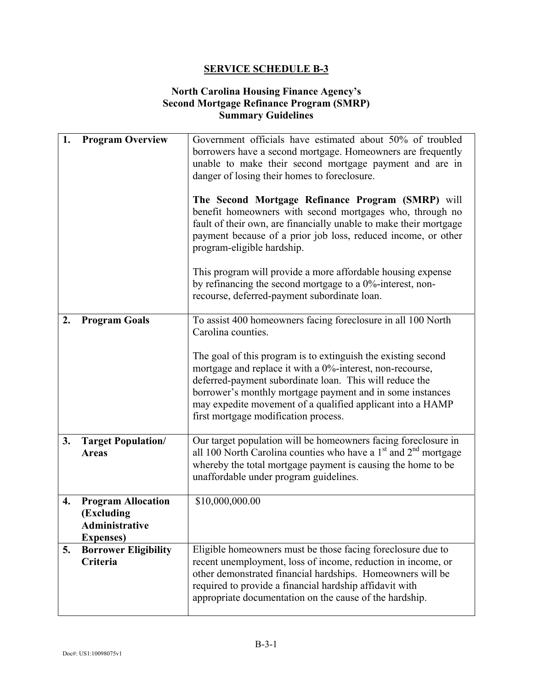### **North Carolina Housing Finance Agency's Second Mortgage Refinance Program (SMRP) Summary Guidelines**

| 1. | <b>Program Overview</b>                                                               | Government officials have estimated about 50% of troubled<br>borrowers have a second mortgage. Homeowners are frequently<br>unable to make their second mortgage payment and are in<br>danger of losing their homes to foreclosure.<br>The Second Mortgage Refinance Program (SMRP) will<br>benefit homeowners with second mortgages who, through no<br>fault of their own, are financially unable to make their mortgage<br>payment because of a prior job loss, reduced income, or other<br>program-eligible hardship.<br>This program will provide a more affordable housing expense<br>by refinancing the second mortgage to a $0\%$ -interest, non-<br>recourse, deferred-payment subordinate loan. |
|----|---------------------------------------------------------------------------------------|----------------------------------------------------------------------------------------------------------------------------------------------------------------------------------------------------------------------------------------------------------------------------------------------------------------------------------------------------------------------------------------------------------------------------------------------------------------------------------------------------------------------------------------------------------------------------------------------------------------------------------------------------------------------------------------------------------|
| 2. | <b>Program Goals</b>                                                                  | To assist 400 homeowners facing foreclosure in all 100 North<br>Carolina counties.<br>The goal of this program is to extinguish the existing second<br>mortgage and replace it with a 0%-interest, non-recourse,<br>deferred-payment subordinate loan. This will reduce the<br>borrower's monthly mortgage payment and in some instances<br>may expedite movement of a qualified applicant into a HAMP<br>first mortgage modification process.                                                                                                                                                                                                                                                           |
| 3. | <b>Target Population/</b><br><b>Areas</b>                                             | Our target population will be homeowners facing foreclosure in<br>all 100 North Carolina counties who have a $1st$ and $2nd$ mortgage<br>whereby the total mortgage payment is causing the home to be<br>unaffordable under program guidelines.                                                                                                                                                                                                                                                                                                                                                                                                                                                          |
| 4. | <b>Program Allocation</b><br>(Excluding<br><b>Administrative</b><br><b>Expenses</b> ) | \$10,000,000.00                                                                                                                                                                                                                                                                                                                                                                                                                                                                                                                                                                                                                                                                                          |
| 5. | <b>Borrower Eligibility</b><br>Criteria                                               | Eligible homeowners must be those facing foreclosure due to<br>recent unemployment, loss of income, reduction in income, or<br>other demonstrated financial hardships. Homeowners will be<br>required to provide a financial hardship affidavit with<br>appropriate documentation on the cause of the hardship.                                                                                                                                                                                                                                                                                                                                                                                          |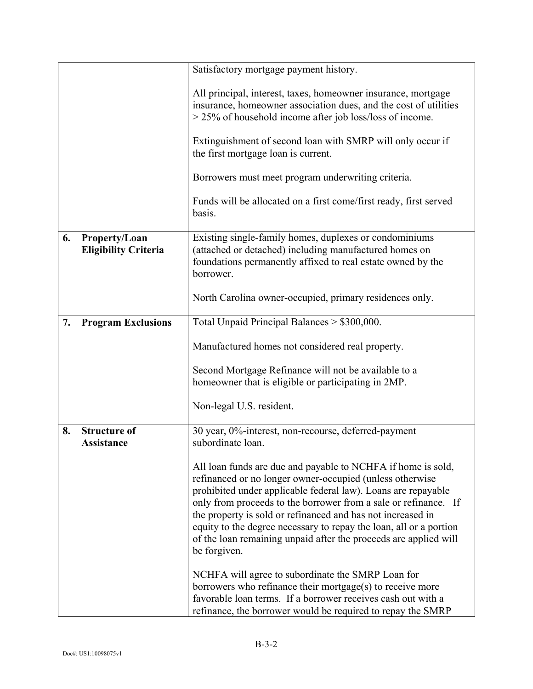|    |                                              | Satisfactory mortgage payment history.                                                                                                                                                                                                                                                                                                                                                                                                                                                |
|----|----------------------------------------------|---------------------------------------------------------------------------------------------------------------------------------------------------------------------------------------------------------------------------------------------------------------------------------------------------------------------------------------------------------------------------------------------------------------------------------------------------------------------------------------|
|    |                                              | All principal, interest, taxes, homeowner insurance, mortgage<br>insurance, homeowner association dues, and the cost of utilities<br>$>$ 25% of household income after job loss/loss of income.                                                                                                                                                                                                                                                                                       |
|    |                                              | Extinguishment of second loan with SMRP will only occur if<br>the first mortgage loan is current.                                                                                                                                                                                                                                                                                                                                                                                     |
|    |                                              | Borrowers must meet program underwriting criteria.                                                                                                                                                                                                                                                                                                                                                                                                                                    |
|    |                                              | Funds will be allocated on a first come/first ready, first served<br>basis.                                                                                                                                                                                                                                                                                                                                                                                                           |
| 6. | Property/Loan<br><b>Eligibility Criteria</b> | Existing single-family homes, duplexes or condominiums<br>(attached or detached) including manufactured homes on<br>foundations permanently affixed to real estate owned by the<br>borrower.                                                                                                                                                                                                                                                                                          |
|    |                                              | North Carolina owner-occupied, primary residences only.                                                                                                                                                                                                                                                                                                                                                                                                                               |
| 7. | <b>Program Exclusions</b>                    | Total Unpaid Principal Balances > \$300,000.                                                                                                                                                                                                                                                                                                                                                                                                                                          |
|    |                                              | Manufactured homes not considered real property.                                                                                                                                                                                                                                                                                                                                                                                                                                      |
|    |                                              | Second Mortgage Refinance will not be available to a<br>homeowner that is eligible or participating in 2MP.                                                                                                                                                                                                                                                                                                                                                                           |
|    |                                              | Non-legal U.S. resident.                                                                                                                                                                                                                                                                                                                                                                                                                                                              |
| 8. | <b>Structure of</b><br><b>Assistance</b>     | 30 year, 0%-interest, non-recourse, deferred-payment<br>subordinate loan.                                                                                                                                                                                                                                                                                                                                                                                                             |
|    |                                              | All loan funds are due and payable to NCHFA if home is sold,<br>refinanced or no longer owner-occupied (unless otherwise<br>prohibited under applicable federal law). Loans are repayable<br>only from proceeds to the borrower from a sale or refinance. If<br>the property is sold or refinanced and has not increased in<br>equity to the degree necessary to repay the loan, all or a portion<br>of the loan remaining unpaid after the proceeds are applied will<br>be forgiven. |
|    |                                              | NCHFA will agree to subordinate the SMRP Loan for<br>borrowers who refinance their mortgage(s) to receive more<br>favorable loan terms. If a borrower receives cash out with a<br>refinance, the borrower would be required to repay the SMRP                                                                                                                                                                                                                                         |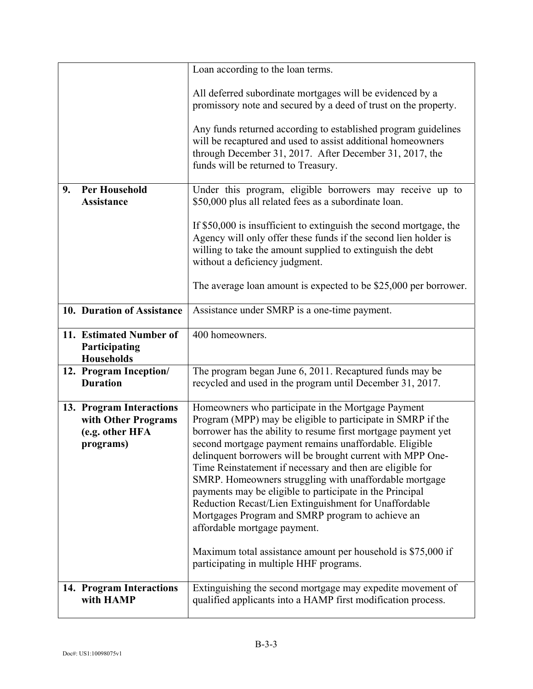|    |                                                                                 | Loan according to the loan terms.                                                                                                                                                                                                                                                                                                                                                                                                                                                                                                                                                                                                                                                                                                                     |
|----|---------------------------------------------------------------------------------|-------------------------------------------------------------------------------------------------------------------------------------------------------------------------------------------------------------------------------------------------------------------------------------------------------------------------------------------------------------------------------------------------------------------------------------------------------------------------------------------------------------------------------------------------------------------------------------------------------------------------------------------------------------------------------------------------------------------------------------------------------|
|    |                                                                                 | All deferred subordinate mortgages will be evidenced by a<br>promissory note and secured by a deed of trust on the property.                                                                                                                                                                                                                                                                                                                                                                                                                                                                                                                                                                                                                          |
|    |                                                                                 | Any funds returned according to established program guidelines<br>will be recaptured and used to assist additional homeowners<br>through December 31, 2017. After December 31, 2017, the<br>funds will be returned to Treasury.                                                                                                                                                                                                                                                                                                                                                                                                                                                                                                                       |
| 9. | <b>Per Household</b><br><b>Assistance</b>                                       | Under this program, eligible borrowers may receive up to<br>\$50,000 plus all related fees as a subordinate loan.                                                                                                                                                                                                                                                                                                                                                                                                                                                                                                                                                                                                                                     |
|    |                                                                                 | If \$50,000 is insufficient to extinguish the second mortgage, the<br>Agency will only offer these funds if the second lien holder is<br>willing to take the amount supplied to extinguish the debt<br>without a deficiency judgment.                                                                                                                                                                                                                                                                                                                                                                                                                                                                                                                 |
|    |                                                                                 | The average loan amount is expected to be \$25,000 per borrower.                                                                                                                                                                                                                                                                                                                                                                                                                                                                                                                                                                                                                                                                                      |
|    | 10. Duration of Assistance                                                      | Assistance under SMRP is a one-time payment.                                                                                                                                                                                                                                                                                                                                                                                                                                                                                                                                                                                                                                                                                                          |
|    | 11. Estimated Number of<br>Participating<br><b>Households</b>                   | 400 homeowners.                                                                                                                                                                                                                                                                                                                                                                                                                                                                                                                                                                                                                                                                                                                                       |
|    | 12. Program Inception/<br><b>Duration</b>                                       | The program began June 6, 2011. Recaptured funds may be<br>recycled and used in the program until December 31, 2017.                                                                                                                                                                                                                                                                                                                                                                                                                                                                                                                                                                                                                                  |
|    | 13. Program Interactions<br>with Other Programs<br>(e.g. other HFA<br>programs) | Homeowners who participate in the Mortgage Payment<br>Program (MPP) may be eligible to participate in SMRP if the<br>borrower has the ability to resume first mortgage payment yet<br>second mortgage payment remains unaffordable. Eligible<br>delinquent borrowers will be brought current with MPP One-<br>Time Reinstatement if necessary and then are eligible for<br>SMRP. Homeowners struggling with unaffordable mortgage<br>payments may be eligible to participate in the Principal<br>Reduction Recast/Lien Extinguishment for Unaffordable<br>Mortgages Program and SMRP program to achieve an<br>affordable mortgage payment.<br>Maximum total assistance amount per household is \$75,000 if<br>participating in multiple HHF programs. |
|    | 14. Program Interactions<br>with HAMP                                           | Extinguishing the second mortgage may expedite movement of<br>qualified applicants into a HAMP first modification process.                                                                                                                                                                                                                                                                                                                                                                                                                                                                                                                                                                                                                            |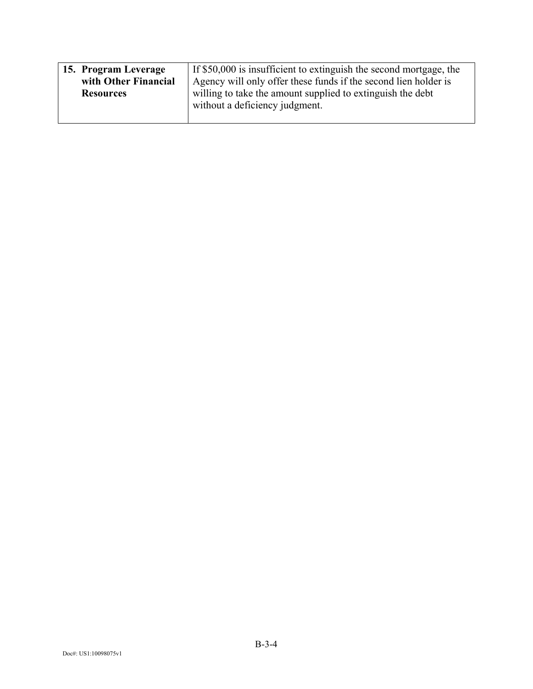| 15. Program Leverage | If \$50,000 is insufficient to extinguish the second mortgage, the |
|----------------------|--------------------------------------------------------------------|
| with Other Financial | Agency will only offer these funds if the second lien holder is    |
| <b>Resources</b>     | willing to take the amount supplied to extinguish the debt         |
|                      | without a deficiency judgment.                                     |
|                      |                                                                    |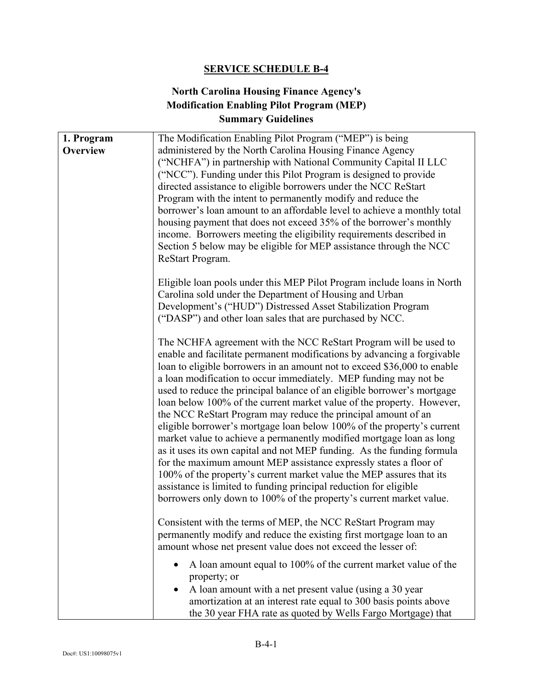## **North Carolina Housing Finance Agency's Modification Enabling Pilot Program (MEP) Summary Guidelines**

| 1. Program<br><b>Overview</b> | The Modification Enabling Pilot Program ("MEP") is being<br>administered by the North Carolina Housing Finance Agency<br>("NCHFA") in partnership with National Community Capital II LLC<br>("NCC"). Funding under this Pilot Program is designed to provide<br>directed assistance to eligible borrowers under the NCC ReStart<br>Program with the intent to permanently modify and reduce the<br>borrower's loan amount to an affordable level to achieve a monthly total<br>housing payment that does not exceed 35% of the borrower's monthly<br>income. Borrowers meeting the eligibility requirements described in<br>Section 5 below may be eligible for MEP assistance through the NCC<br>ReStart Program.                                                                                                                                                                                                                                                                                                                    |
|-------------------------------|---------------------------------------------------------------------------------------------------------------------------------------------------------------------------------------------------------------------------------------------------------------------------------------------------------------------------------------------------------------------------------------------------------------------------------------------------------------------------------------------------------------------------------------------------------------------------------------------------------------------------------------------------------------------------------------------------------------------------------------------------------------------------------------------------------------------------------------------------------------------------------------------------------------------------------------------------------------------------------------------------------------------------------------|
|                               | Eligible loan pools under this MEP Pilot Program include loans in North<br>Carolina sold under the Department of Housing and Urban<br>Development's ("HUD") Distressed Asset Stabilization Program<br>("DASP") and other loan sales that are purchased by NCC.                                                                                                                                                                                                                                                                                                                                                                                                                                                                                                                                                                                                                                                                                                                                                                        |
|                               | The NCHFA agreement with the NCC ReStart Program will be used to<br>enable and facilitate permanent modifications by advancing a forgivable<br>loan to eligible borrowers in an amount not to exceed \$36,000 to enable<br>a loan modification to occur immediately. MEP funding may not be<br>used to reduce the principal balance of an eligible borrower's mortgage<br>loan below 100% of the current market value of the property. However,<br>the NCC ReStart Program may reduce the principal amount of an<br>eligible borrower's mortgage loan below 100% of the property's current<br>market value to achieve a permanently modified mortgage loan as long<br>as it uses its own capital and not MEP funding. As the funding formula<br>for the maximum amount MEP assistance expressly states a floor of<br>100% of the property's current market value the MEP assures that its<br>assistance is limited to funding principal reduction for eligible<br>borrowers only down to 100% of the property's current market value. |
|                               | Consistent with the terms of MEP, the NCC ReStart Program may<br>permanently modify and reduce the existing first mortgage loan to an<br>amount whose net present value does not exceed the lesser of:                                                                                                                                                                                                                                                                                                                                                                                                                                                                                                                                                                                                                                                                                                                                                                                                                                |
|                               | A loan amount equal to 100% of the current market value of the<br>property; or<br>A loan amount with a net present value (using a 30 year<br>amortization at an interest rate equal to 300 basis points above<br>the 30 year FHA rate as quoted by Wells Fargo Mortgage) that                                                                                                                                                                                                                                                                                                                                                                                                                                                                                                                                                                                                                                                                                                                                                         |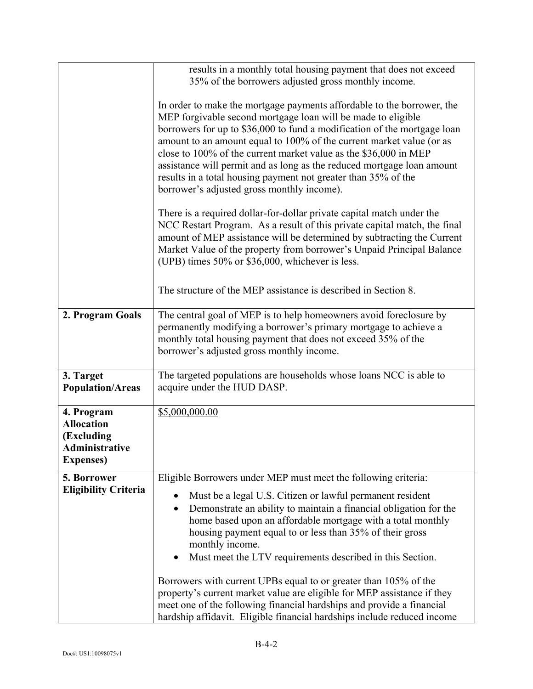|                                                                                             | results in a monthly total housing payment that does not exceed<br>35% of the borrowers adjusted gross monthly income.                                                                                                                                                                                                                                                                                                                                                                                                                                   |
|---------------------------------------------------------------------------------------------|----------------------------------------------------------------------------------------------------------------------------------------------------------------------------------------------------------------------------------------------------------------------------------------------------------------------------------------------------------------------------------------------------------------------------------------------------------------------------------------------------------------------------------------------------------|
|                                                                                             | In order to make the mortgage payments affordable to the borrower, the<br>MEP forgivable second mortgage loan will be made to eligible<br>borrowers for up to \$36,000 to fund a modification of the mortgage loan<br>amount to an amount equal to 100% of the current market value (or as<br>close to 100% of the current market value as the \$36,000 in MEP<br>assistance will permit and as long as the reduced mortgage loan amount<br>results in a total housing payment not greater than 35% of the<br>borrower's adjusted gross monthly income). |
|                                                                                             | There is a required dollar-for-dollar private capital match under the<br>NCC Restart Program. As a result of this private capital match, the final<br>amount of MEP assistance will be determined by subtracting the Current<br>Market Value of the property from borrower's Unpaid Principal Balance<br>(UPB) times 50% or \$36,000, whichever is less.                                                                                                                                                                                                 |
|                                                                                             | The structure of the MEP assistance is described in Section 8.                                                                                                                                                                                                                                                                                                                                                                                                                                                                                           |
| 2. Program Goals                                                                            | The central goal of MEP is to help homeowners avoid foreclosure by<br>permanently modifying a borrower's primary mortgage to achieve a<br>monthly total housing payment that does not exceed 35% of the<br>borrower's adjusted gross monthly income.                                                                                                                                                                                                                                                                                                     |
| 3. Target<br><b>Population/Areas</b>                                                        | The targeted populations are households whose loans NCC is able to<br>acquire under the HUD DASP.                                                                                                                                                                                                                                                                                                                                                                                                                                                        |
| 4. Program<br><b>Allocation</b><br>(Excluding<br><b>Administrative</b><br><b>Expenses</b> ) | \$5,000,000.00                                                                                                                                                                                                                                                                                                                                                                                                                                                                                                                                           |
| 5. Borrower                                                                                 | Eligible Borrowers under MEP must meet the following criteria:                                                                                                                                                                                                                                                                                                                                                                                                                                                                                           |
| <b>Eligibility Criteria</b>                                                                 | Must be a legal U.S. Citizen or lawful permanent resident<br>$\bullet$<br>Demonstrate an ability to maintain a financial obligation for the<br>home based upon an affordable mortgage with a total monthly<br>housing payment equal to or less than 35% of their gross<br>monthly income.<br>Must meet the LTV requirements described in this Section.<br>$\bullet$<br>Borrowers with current UPBs equal to or greater than 105% of the<br>property's current market value are eligible for MEP assistance if they                                       |
|                                                                                             | meet one of the following financial hardships and provide a financial<br>hardship affidavit. Eligible financial hardships include reduced income                                                                                                                                                                                                                                                                                                                                                                                                         |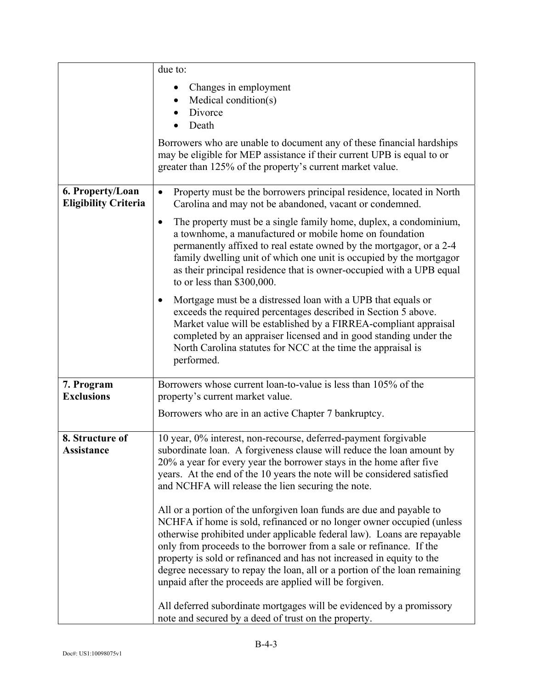|                                                 | due to:                                                                                                                                                                                                                                                                                                                                                                                                                                                                                                                                                                                                                                                                                                                                                                                                                                                                                                                                                                                               |
|-------------------------------------------------|-------------------------------------------------------------------------------------------------------------------------------------------------------------------------------------------------------------------------------------------------------------------------------------------------------------------------------------------------------------------------------------------------------------------------------------------------------------------------------------------------------------------------------------------------------------------------------------------------------------------------------------------------------------------------------------------------------------------------------------------------------------------------------------------------------------------------------------------------------------------------------------------------------------------------------------------------------------------------------------------------------|
|                                                 | Changes in employment<br>Medical condition(s)<br>Divorce<br>$\bullet$<br>Death                                                                                                                                                                                                                                                                                                                                                                                                                                                                                                                                                                                                                                                                                                                                                                                                                                                                                                                        |
|                                                 | Borrowers who are unable to document any of these financial hardships<br>may be eligible for MEP assistance if their current UPB is equal to or<br>greater than 125% of the property's current market value.                                                                                                                                                                                                                                                                                                                                                                                                                                                                                                                                                                                                                                                                                                                                                                                          |
| 6. Property/Loan<br><b>Eligibility Criteria</b> | Property must be the borrowers principal residence, located in North<br>$\bullet$<br>Carolina and may not be abandoned, vacant or condemned.                                                                                                                                                                                                                                                                                                                                                                                                                                                                                                                                                                                                                                                                                                                                                                                                                                                          |
|                                                 | The property must be a single family home, duplex, a condominium,<br>$\bullet$<br>a townhome, a manufactured or mobile home on foundation<br>permanently affixed to real estate owned by the mortgagor, or a 2-4<br>family dwelling unit of which one unit is occupied by the mortgagor<br>as their principal residence that is owner-occupied with a UPB equal<br>to or less than \$300,000.                                                                                                                                                                                                                                                                                                                                                                                                                                                                                                                                                                                                         |
|                                                 | Mortgage must be a distressed loan with a UPB that equals or<br>٠<br>exceeds the required percentages described in Section 5 above.<br>Market value will be established by a FIRREA-compliant appraisal<br>completed by an appraiser licensed and in good standing under the<br>North Carolina statutes for NCC at the time the appraisal is<br>performed.                                                                                                                                                                                                                                                                                                                                                                                                                                                                                                                                                                                                                                            |
| 7. Program<br><b>Exclusions</b>                 | Borrowers whose current loan-to-value is less than 105% of the<br>property's current market value.                                                                                                                                                                                                                                                                                                                                                                                                                                                                                                                                                                                                                                                                                                                                                                                                                                                                                                    |
|                                                 | Borrowers who are in an active Chapter 7 bankruptcy.                                                                                                                                                                                                                                                                                                                                                                                                                                                                                                                                                                                                                                                                                                                                                                                                                                                                                                                                                  |
| 8. Structure of<br>Assistance                   | 10 year, 0% interest, non-recourse, deferred-payment forgivable<br>subordinate loan. A forgiveness clause will reduce the loan amount by<br>20% a year for every year the borrower stays in the home after five<br>years. At the end of the 10 years the note will be considered satisfied<br>and NCHFA will release the lien securing the note.<br>All or a portion of the unforgiven loan funds are due and payable to<br>NCHFA if home is sold, refinanced or no longer owner occupied (unless<br>otherwise prohibited under applicable federal law). Loans are repayable<br>only from proceeds to the borrower from a sale or refinance. If the<br>property is sold or refinanced and has not increased in equity to the<br>degree necessary to repay the loan, all or a portion of the loan remaining<br>unpaid after the proceeds are applied will be forgiven.<br>All deferred subordinate mortgages will be evidenced by a promissory<br>note and secured by a deed of trust on the property. |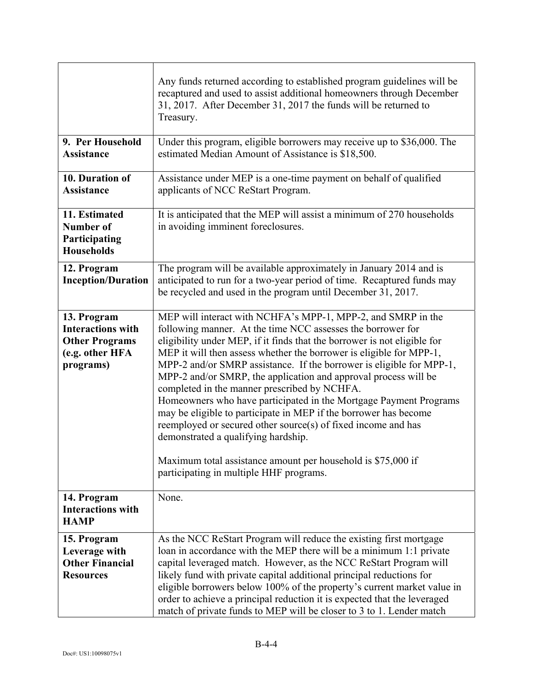|                                                                                                  | Any funds returned according to established program guidelines will be<br>recaptured and used to assist additional homeowners through December<br>31, 2017. After December 31, 2017 the funds will be returned to<br>Treasury.                                                                                                                                                                                                                                                                                                                                                                                                                                                                                                                                                                                                        |
|--------------------------------------------------------------------------------------------------|---------------------------------------------------------------------------------------------------------------------------------------------------------------------------------------------------------------------------------------------------------------------------------------------------------------------------------------------------------------------------------------------------------------------------------------------------------------------------------------------------------------------------------------------------------------------------------------------------------------------------------------------------------------------------------------------------------------------------------------------------------------------------------------------------------------------------------------|
| 9. Per Household<br>Assistance                                                                   | Under this program, eligible borrowers may receive up to \$36,000. The<br>estimated Median Amount of Assistance is \$18,500.                                                                                                                                                                                                                                                                                                                                                                                                                                                                                                                                                                                                                                                                                                          |
| 10. Duration of<br><b>Assistance</b>                                                             | Assistance under MEP is a one-time payment on behalf of qualified<br>applicants of NCC ReStart Program.                                                                                                                                                                                                                                                                                                                                                                                                                                                                                                                                                                                                                                                                                                                               |
| 11. Estimated<br>Number of<br>Participating<br><b>Households</b>                                 | It is anticipated that the MEP will assist a minimum of 270 households<br>in avoiding imminent foreclosures.                                                                                                                                                                                                                                                                                                                                                                                                                                                                                                                                                                                                                                                                                                                          |
| 12. Program<br><b>Inception/Duration</b>                                                         | The program will be available approximately in January 2014 and is<br>anticipated to run for a two-year period of time. Recaptured funds may<br>be recycled and used in the program until December 31, 2017.                                                                                                                                                                                                                                                                                                                                                                                                                                                                                                                                                                                                                          |
| 13. Program<br><b>Interactions with</b><br><b>Other Programs</b><br>(e.g. other HFA<br>programs) | MEP will interact with NCHFA's MPP-1, MPP-2, and SMRP in the<br>following manner. At the time NCC assesses the borrower for<br>eligibility under MEP, if it finds that the borrower is not eligible for<br>MEP it will then assess whether the borrower is eligible for MPP-1,<br>MPP-2 and/or SMRP assistance. If the borrower is eligible for MPP-1,<br>MPP-2 and/or SMRP, the application and approval process will be<br>completed in the manner prescribed by NCHFA.<br>Homeowners who have participated in the Mortgage Payment Programs<br>may be eligible to participate in MEP if the borrower has become<br>reemployed or secured other source(s) of fixed income and has<br>demonstrated a qualifying hardship.<br>Maximum total assistance amount per household is \$75,000 if<br>participating in multiple HHF programs. |
| 14. Program<br><b>Interactions with</b><br><b>HAMP</b>                                           | None.                                                                                                                                                                                                                                                                                                                                                                                                                                                                                                                                                                                                                                                                                                                                                                                                                                 |
| 15. Program<br>Leverage with<br><b>Other Financial</b><br><b>Resources</b>                       | As the NCC ReStart Program will reduce the existing first mortgage<br>loan in accordance with the MEP there will be a minimum 1:1 private<br>capital leveraged match. However, as the NCC ReStart Program will<br>likely fund with private capital additional principal reductions for<br>eligible borrowers below 100% of the property's current market value in<br>order to achieve a principal reduction it is expected that the leveraged<br>match of private funds to MEP will be closer to 3 to 1. Lender match                                                                                                                                                                                                                                                                                                                 |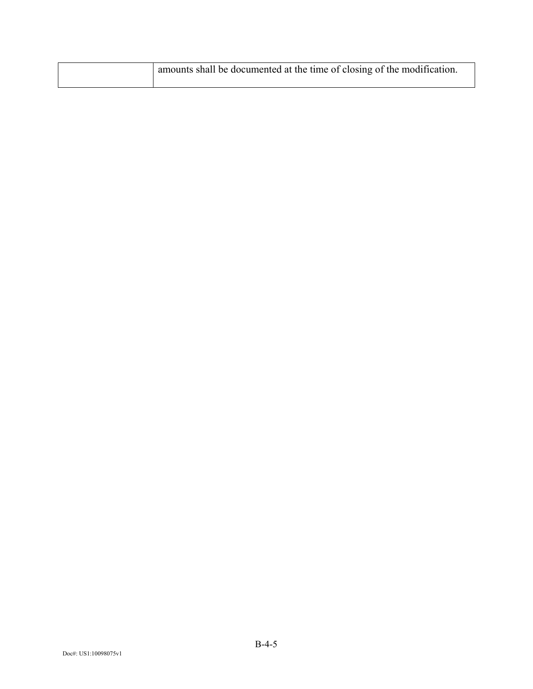| amounts shall be documented at the time of closing of the modification. |
|-------------------------------------------------------------------------|
|                                                                         |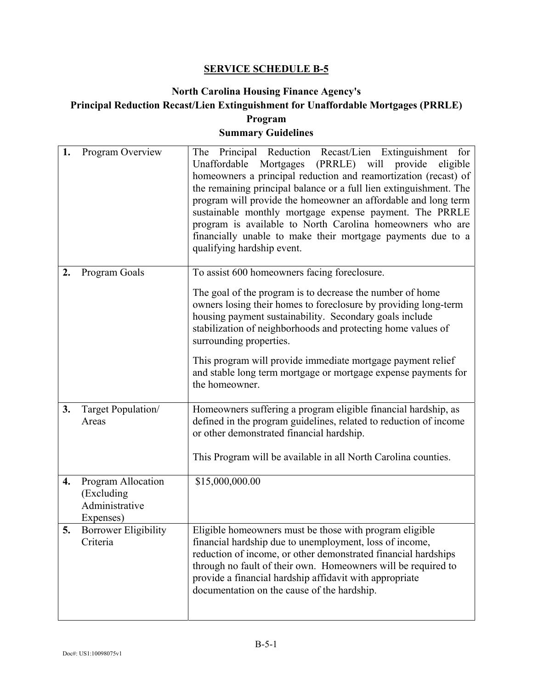## **North Carolina Housing Finance Agency's Principal Reduction Recast/Lien Extinguishment for Unaffordable Mortgages (PRRLE) Program**

## **Summary Guidelines**

| 1. | Program Overview                                                | The Principal Reduction Recast/Lien Extinguishment<br>for<br>Unaffordable Mortgages (PRRLE) will provide<br>eligible<br>homeowners a principal reduction and reamortization (recast) of<br>the remaining principal balance or a full lien extinguishment. The<br>program will provide the homeowner an affordable and long term<br>sustainable monthly mortgage expense payment. The PRRLE<br>program is available to North Carolina homeowners who are<br>financially unable to make their mortgage payments due to a<br>qualifying hardship event. |
|----|-----------------------------------------------------------------|------------------------------------------------------------------------------------------------------------------------------------------------------------------------------------------------------------------------------------------------------------------------------------------------------------------------------------------------------------------------------------------------------------------------------------------------------------------------------------------------------------------------------------------------------|
| 2. | Program Goals                                                   | To assist 600 homeowners facing foreclosure.                                                                                                                                                                                                                                                                                                                                                                                                                                                                                                         |
|    |                                                                 | The goal of the program is to decrease the number of home<br>owners losing their homes to foreclosure by providing long-term<br>housing payment sustainability. Secondary goals include<br>stabilization of neighborhoods and protecting home values of<br>surrounding properties.                                                                                                                                                                                                                                                                   |
|    |                                                                 | This program will provide immediate mortgage payment relief<br>and stable long term mortgage or mortgage expense payments for<br>the homeowner.                                                                                                                                                                                                                                                                                                                                                                                                      |
| 3. | Target Population/<br>Areas                                     | Homeowners suffering a program eligible financial hardship, as<br>defined in the program guidelines, related to reduction of income<br>or other demonstrated financial hardship.<br>This Program will be available in all North Carolina counties.                                                                                                                                                                                                                                                                                                   |
|    |                                                                 |                                                                                                                                                                                                                                                                                                                                                                                                                                                                                                                                                      |
| 4. | Program Allocation<br>(Excluding<br>Administrative<br>Expenses) | \$15,000,000.00                                                                                                                                                                                                                                                                                                                                                                                                                                                                                                                                      |
| 5. | <b>Borrower Eligibility</b><br>Criteria                         | Eligible homeowners must be those with program eligible<br>financial hardship due to unemployment, loss of income,<br>reduction of income, or other demonstrated financial hardships<br>through no fault of their own. Homeowners will be required to<br>provide a financial hardship affidavit with appropriate<br>documentation on the cause of the hardship.                                                                                                                                                                                      |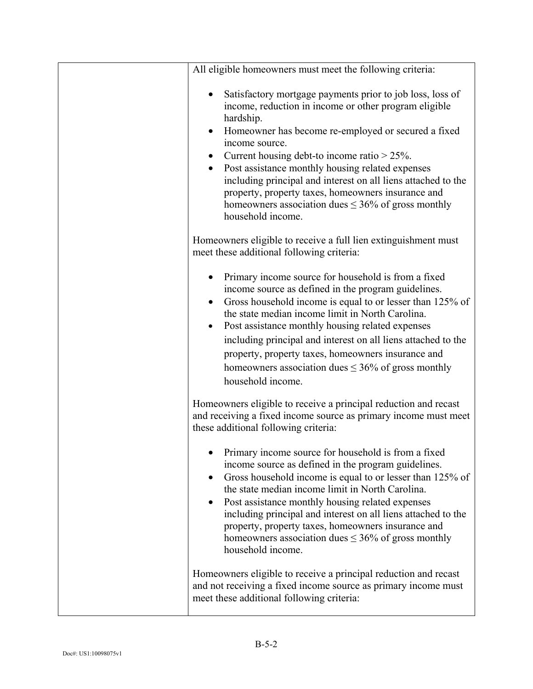| All eligible homeowners must meet the following criteria:                                                                                                                                                                                                                                                                                                                                                                                                                                                                                      |
|------------------------------------------------------------------------------------------------------------------------------------------------------------------------------------------------------------------------------------------------------------------------------------------------------------------------------------------------------------------------------------------------------------------------------------------------------------------------------------------------------------------------------------------------|
| Satisfactory mortgage payments prior to job loss, loss of<br>income, reduction in income or other program eligible<br>hardship.<br>Homeowner has become re-employed or secured a fixed<br>$\bullet$<br>income source.<br>Current housing debt-to income ratio $>$ 25%.<br>Post assistance monthly housing related expenses<br>$\bullet$<br>including principal and interest on all liens attached to the<br>property, property taxes, homeowners insurance and<br>homeowners association dues $\leq$ 36% of gross monthly<br>household income. |
| Homeowners eligible to receive a full lien extinguishment must<br>meet these additional following criteria:                                                                                                                                                                                                                                                                                                                                                                                                                                    |
| Primary income source for household is from a fixed<br>income source as defined in the program guidelines.<br>Gross household income is equal to or lesser than 125% of<br>the state median income limit in North Carolina.<br>Post assistance monthly housing related expenses<br>$\bullet$<br>including principal and interest on all liens attached to the<br>property, property taxes, homeowners insurance and<br>homeowners association dues $\leq$ 36% of gross monthly<br>household income.                                            |
| Homeowners eligible to receive a principal reduction and recast<br>and receiving a fixed income source as primary income must meet<br>these additional following criteria:                                                                                                                                                                                                                                                                                                                                                                     |
| Primary income source for household is from a fixed<br>income source as defined in the program guidelines.<br>Gross household income is equal to or lesser than 125% of<br>the state median income limit in North Carolina.<br>Post assistance monthly housing related expenses<br>$\bullet$<br>including principal and interest on all liens attached to the<br>property, property taxes, homeowners insurance and<br>homeowners association dues $\leq$ 36% of gross monthly<br>household income.                                            |
| Homeowners eligible to receive a principal reduction and recast<br>and not receiving a fixed income source as primary income must<br>meet these additional following criteria:                                                                                                                                                                                                                                                                                                                                                                 |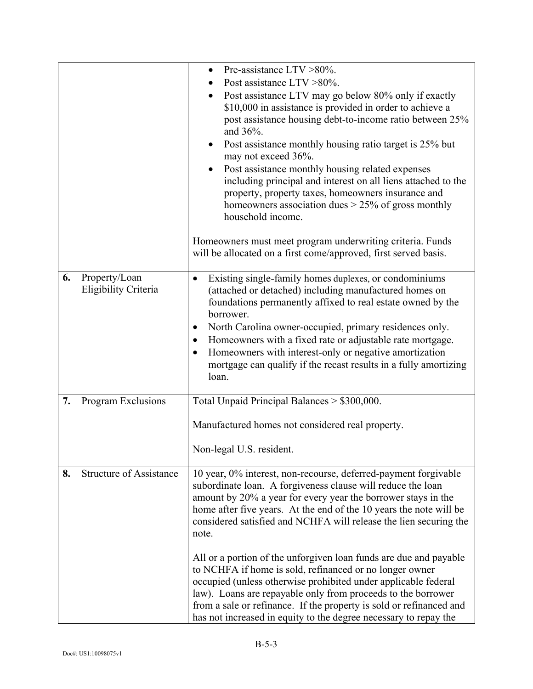|    |                                       | Pre-assistance $LTV > 80\%$ .<br>$\bullet$<br>Post assistance LTV > 80%.<br>Post assistance LTV may go below 80% only if exactly<br>\$10,000 in assistance is provided in order to achieve a<br>post assistance housing debt-to-income ratio between 25%<br>and $36\%$ .<br>Post assistance monthly housing ratio target is 25% but<br>$\bullet$<br>may not exceed 36%.<br>Post assistance monthly housing related expenses<br>including principal and interest on all liens attached to the<br>property, property taxes, homeowners insurance and<br>homeowners association dues $> 25\%$ of gross monthly<br>household income.<br>Homeowners must meet program underwriting criteria. Funds<br>will be allocated on a first come/approved, first served basis. |
|----|---------------------------------------|------------------------------------------------------------------------------------------------------------------------------------------------------------------------------------------------------------------------------------------------------------------------------------------------------------------------------------------------------------------------------------------------------------------------------------------------------------------------------------------------------------------------------------------------------------------------------------------------------------------------------------------------------------------------------------------------------------------------------------------------------------------|
| 6. | Property/Loan<br>Eligibility Criteria | Existing single-family homes duplexes, or condominiums<br>$\bullet$<br>(attached or detached) including manufactured homes on<br>foundations permanently affixed to real estate owned by the<br>borrower.<br>North Carolina owner-occupied, primary residences only.<br>Homeowners with a fixed rate or adjustable rate mortgage.<br>Homeowners with interest-only or negative amortization<br>$\bullet$<br>mortgage can qualify if the recast results in a fully amortizing<br>loan.                                                                                                                                                                                                                                                                            |
| 7. | Program Exclusions                    | Total Unpaid Principal Balances > \$300,000.<br>Manufactured homes not considered real property.<br>Non-legal U.S. resident.                                                                                                                                                                                                                                                                                                                                                                                                                                                                                                                                                                                                                                     |
| 8. | <b>Structure of Assistance</b>        | 10 year, 0% interest, non-recourse, deferred-payment forgivable<br>subordinate loan. A forgiveness clause will reduce the loan<br>amount by 20% a year for every year the borrower stays in the<br>home after five years. At the end of the 10 years the note will be<br>considered satisfied and NCHFA will release the lien securing the<br>note.<br>All or a portion of the unforgiven loan funds are due and payable<br>to NCHFA if home is sold, refinanced or no longer owner<br>occupied (unless otherwise prohibited under applicable federal<br>law). Loans are repayable only from proceeds to the borrower<br>from a sale or refinance. If the property is sold or refinanced and<br>has not increased in equity to the degree necessary to repay the |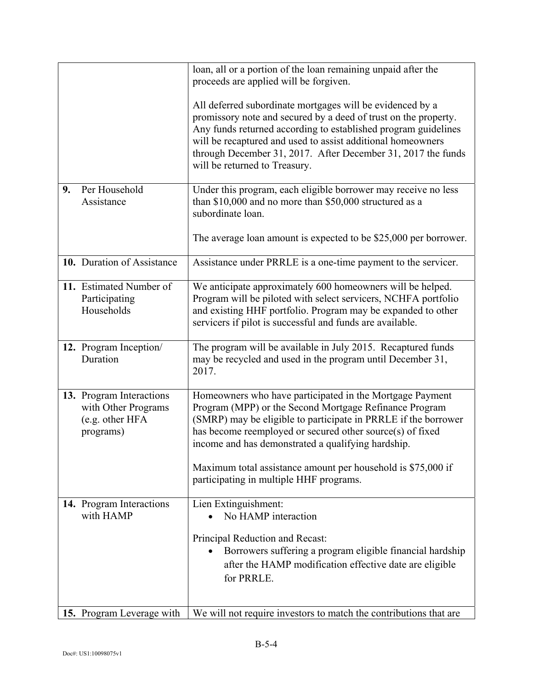|    |                                                                                 | loan, all or a portion of the loan remaining unpaid after the<br>proceeds are applied will be forgiven.                                                                                                                                                                                                                                                        |
|----|---------------------------------------------------------------------------------|----------------------------------------------------------------------------------------------------------------------------------------------------------------------------------------------------------------------------------------------------------------------------------------------------------------------------------------------------------------|
|    |                                                                                 | All deferred subordinate mortgages will be evidenced by a<br>promissory note and secured by a deed of trust on the property.<br>Any funds returned according to established program guidelines<br>will be recaptured and used to assist additional homeowners<br>through December 31, 2017. After December 31, 2017 the funds<br>will be returned to Treasury. |
| 9. | Per Household<br>Assistance                                                     | Under this program, each eligible borrower may receive no less<br>than \$10,000 and no more than \$50,000 structured as a<br>subordinate loan.                                                                                                                                                                                                                 |
|    |                                                                                 | The average loan amount is expected to be \$25,000 per borrower.                                                                                                                                                                                                                                                                                               |
|    | 10. Duration of Assistance                                                      | Assistance under PRRLE is a one-time payment to the servicer.                                                                                                                                                                                                                                                                                                  |
|    | 11. Estimated Number of<br>Participating<br>Households                          | We anticipate approximately 600 homeowners will be helped.<br>Program will be piloted with select servicers, NCHFA portfolio<br>and existing HHF portfolio. Program may be expanded to other<br>servicers if pilot is successful and funds are available.                                                                                                      |
|    | 12. Program Inception/<br>Duration                                              | The program will be available in July 2015. Recaptured funds<br>may be recycled and used in the program until December 31,<br>2017.                                                                                                                                                                                                                            |
|    | 13. Program Interactions<br>with Other Programs<br>(e.g. other HFA<br>programs) | Homeowners who have participated in the Mortgage Payment<br>Program (MPP) or the Second Mortgage Refinance Program<br>(SMRP) may be eligible to participate in PRRLE if the borrower<br>has become reemployed or secured other source(s) of fixed<br>income and has demonstrated a qualifying hardship.                                                        |
|    |                                                                                 | Maximum total assistance amount per household is \$75,000 if<br>participating in multiple HHF programs.                                                                                                                                                                                                                                                        |
|    | 14. Program Interactions<br>with HAMP                                           | Lien Extinguishment:<br>No HAMP interaction                                                                                                                                                                                                                                                                                                                    |
|    |                                                                                 | Principal Reduction and Recast:<br>Borrowers suffering a program eligible financial hardship<br>after the HAMP modification effective date are eligible<br>for PRRLE.                                                                                                                                                                                          |
|    | 15. Program Leverage with                                                       | We will not require investors to match the contributions that are                                                                                                                                                                                                                                                                                              |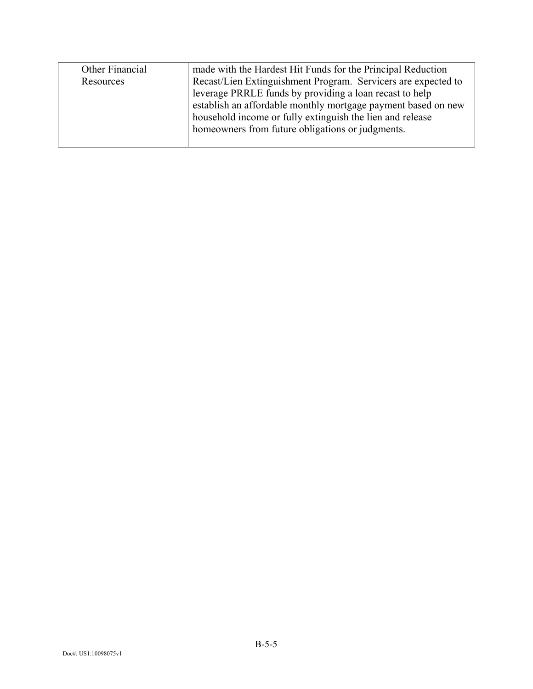| Other Financial | made with the Hardest Hit Funds for the Principal Reduction   |
|-----------------|---------------------------------------------------------------|
| Resources       | Recast/Lien Extinguishment Program. Servicers are expected to |
|                 | leverage PRRLE funds by providing a loan recast to help       |
|                 | establish an affordable monthly mortgage payment based on new |
|                 | household income or fully extinguish the lien and release     |
|                 | homeowners from future obligations or judgments.              |
|                 |                                                               |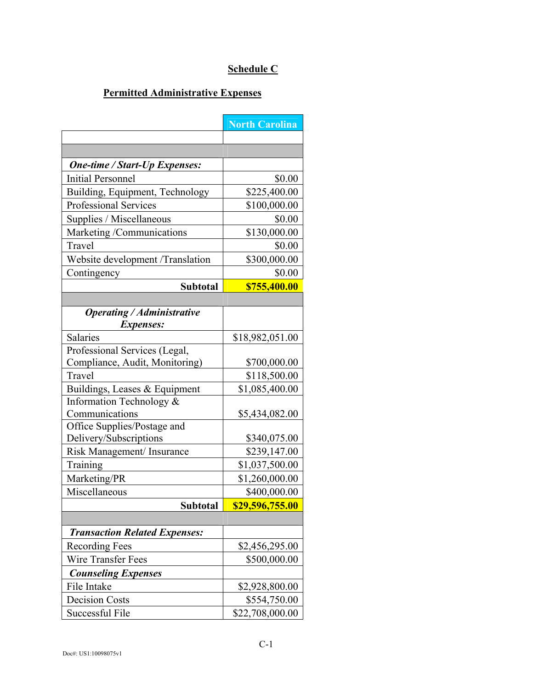# **Schedule C**

# **Permitted Administrative Expenses**

|                                                       | <b>North Carolina</b> |
|-------------------------------------------------------|-----------------------|
|                                                       |                       |
|                                                       |                       |
| <b>One-time / Start-Up Expenses:</b>                  |                       |
| <b>Initial Personnel</b>                              | \$0.00                |
| Building, Equipment, Technology                       | \$225,400.00          |
| <b>Professional Services</b>                          | \$100,000.00          |
| Supplies / Miscellaneous                              | \$0.00                |
| Marketing /Communications                             | \$130,000.00          |
| Travel                                                | \$0.00                |
| Website development /Translation                      | \$300,000.00          |
| Contingency                                           | \$0.00                |
| <b>Subtotal</b>                                       | \$755,400.00          |
|                                                       |                       |
| <b>Operating / Administrative</b>                     |                       |
| <i>Expenses:</i>                                      |                       |
| Salaries                                              | \$18,982,051.00       |
| Professional Services (Legal,                         |                       |
| Compliance, Audit, Monitoring)                        | \$700,000.00          |
| Travel                                                | \$118,500.00          |
| Buildings, Leases & Equipment                         | \$1,085,400.00        |
| Information Technology &                              |                       |
| Communications                                        | \$5,434,082.00        |
| Office Supplies/Postage and<br>Delivery/Subscriptions | \$340,075.00          |
| Risk Management/ Insurance                            | \$239,147.00          |
| Training                                              | \$1,037,500.00        |
| Marketing/PR                                          | \$1,260,000.00        |
| Miscellaneous                                         | \$400,000.00          |
| <b>Subtotal</b>                                       | \$29,596,755.00       |
|                                                       |                       |
| <b>Transaction Related Expenses:</b>                  |                       |
| <b>Recording Fees</b>                                 | \$2,456,295.00        |
| Wire Transfer Fees                                    | \$500,000.00          |
| <b>Counseling Expenses</b>                            |                       |
| File Intake                                           | \$2,928,800.00        |
| <b>Decision Costs</b>                                 | \$554,750.00          |
| Successful File                                       | \$22,708,000.00       |